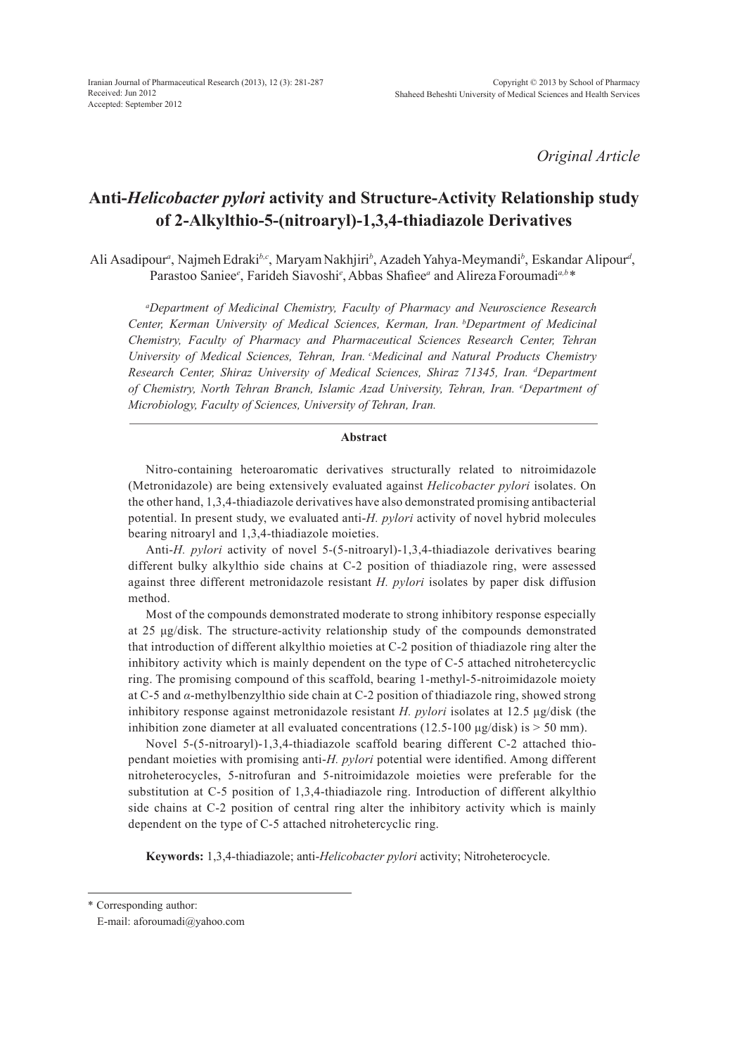*Original Article*

# **Anti-***Helicobacter pylori* **activity and Structure-Activity Relationship study of 2-Alkylthio-5-(nitroaryl)-1,3,4-thiadiazole Derivatives**

Ali Asadipour<sup>a</sup>, Najmeh Edraki<sup>b,c</sup>, Maryam Nakhjiri<sup>b</sup>, Azadeh Yahya-Meymandi<sup>b</sup>, Eskandar Alipour<sup>d</sup>, Parastoo Saniee*<sup>e</sup>* , Farideh Siavoshi*<sup>e</sup>* , Abbas Shafiee*<sup>a</sup>* and Alireza Foroumadi*a,b\**

*a Department of Medicinal Chemistry, Faculty of Pharmacy and Neuroscience Research Center, Kerman University of Medical Sciences, Kerman, Iran. bDepartment of Medicinal Chemistry, Faculty of Pharmacy and Pharmaceutical Sciences Research Center, Tehran University of Medical Sciences, Tehran, Iran. cMedicinal and Natural Products Chemistry Research Center, Shiraz University of Medical Sciences, Shiraz 71345, Iran. d Department of Chemistry, North Tehran Branch, Islamic Azad University, Tehran, Iran. e Department of Microbiology, Faculty of Sciences, University of Tehran, Iran.*

## **Abstract**

Nitro-containing heteroaromatic derivatives structurally related to nitroimidazole (Metronidazole) are being extensively evaluated against *Helicobacter pylori* isolates. On the other hand, 1,3,4-thiadiazole derivatives have also demonstrated promising antibacterial potential. In present study, we evaluated anti-*H. pylori* activity of novel hybrid molecules bearing nitroaryl and 1,3,4-thiadiazole moieties.

Anti-*H. pylori* activity of novel 5-(5-nitroaryl)-1,3,4-thiadiazole derivatives bearing different bulky alkylthio side chains at C-2 position of thiadiazole ring, were assessed against three different metronidazole resistant *H. pylori* isolates by paper disk diffusion method.

Most of the compounds demonstrated moderate to strong inhibitory response especially at 25 μg/disk. The structure-activity relationship study of the compounds demonstrated that introduction of different alkylthio moieties at C-2 position of thiadiazole ring alter the inhibitory activity which is mainly dependent on the type of C-5 attached nitrohetercyclic ring. The promising compound of this scaffold, bearing 1-methyl-5-nitroimidazole moiety at C-5 and *α*-methylbenzylthio side chain at C-2 position of thiadiazole ring, showed strong inhibitory response against metronidazole resistant *H. pylori* isolates at 12.5 μg/disk (the inhibition zone diameter at all evaluated concentrations  $(12.5-100 \mu g/disk)$  is  $> 50 \text{ mm}$ ).

Novel 5-(5-nitroaryl)-1,3,4-thiadiazole scaffold bearing different C-2 attached thiopendant moieties with promising anti-*H. pylori* potential were identified. Among different nitroheterocycles, 5-nitrofuran and 5-nitroimidazole moieties were preferable for the substitution at C-5 position of 1,3,4-thiadiazole ring. Introduction of different alkylthio side chains at C-2 position of central ring alter the inhibitory activity which is mainly dependent on the type of C-5 attached nitrohetercyclic ring.

**Keywords:** 1,3,4-thiadiazole; anti-*Helicobacter pylori* activity; Nitroheterocycle.

<sup>\*</sup> Corresponding author:

E-mail: aforoumadi@yahoo.com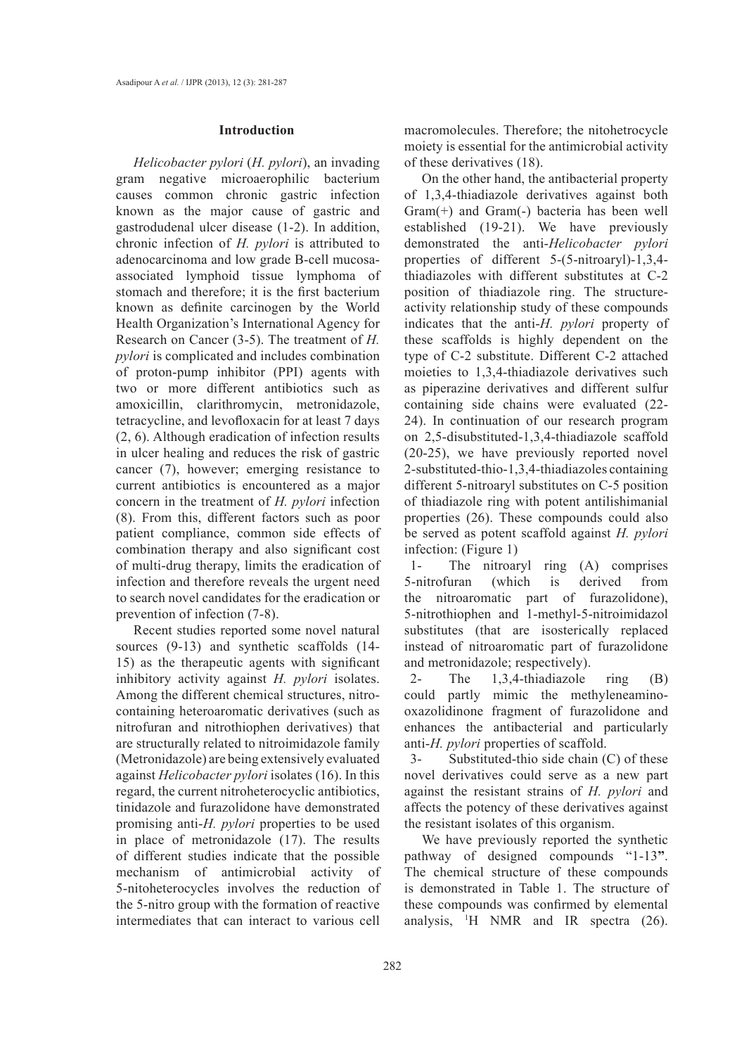#### **Introduction**

*Helicobacter pylori* (*H. pylori*), an invading gram negative microaerophilic bacterium causes common chronic gastric infection known as the major cause of gastric and gastrodudenal ulcer disease (1-2). In addition, chronic infection of *H. pylori* is attributed to adenocarcinoma and low grade B-cell mucosaassociated lymphoid tissue lymphoma of stomach and therefore; it is the first bacterium known as definite carcinogen by the World Health Organization's International Agency for Research on Cancer (3-5). The treatment of *H. pylori* is complicated and includes combination of proton-pump inhibitor (PPI) agents with two or more different antibiotics such as amoxicillin, clarithromycin, metronidazole, tetracycline, and levofloxacin for at least 7 days (2, 6). Although eradication of infection results in ulcer healing and reduces the risk of gastric cancer (7), however; emerging resistance to current antibiotics is encountered as a major concern in the treatment of *H. pylori* infection (8). From this, different factors such as poor patient compliance, common side effects of combination therapy and also significant cost of multi-drug therapy, limits the eradication of infection and therefore reveals the urgent need to search novel candidates for the eradication or prevention of infection (7-8).

Recent studies reported some novel natural sources (9-13) and synthetic scaffolds (14- 15) as the therapeutic agents with significant inhibitory activity against *H. pylori* isolates. Among the different chemical structures, nitrocontaining heteroaromatic derivatives (such as nitrofuran and nitrothiophen derivatives) that are structurally related to nitroimidazole family (Metronidazole) are being extensively evaluated against *Helicobacter pylori* isolates (16). In this regard, the current nitroheterocyclic antibiotics, tinidazole and furazolidone have demonstrated promising anti-*H. pylori* properties to be used in place of metronidazole (17). The results of different studies indicate that the possible mechanism of antimicrobial activity of 5-nitoheterocycles involves the reduction of the 5-nitro group with the formation of reactive intermediates that can interact to various cell macromolecules. Therefore; the nitohetrocycle moiety is essential for the antimicrobial activity of these derivatives (18).

On the other hand, the antibacterial property of 1,3,4-thiadiazole derivatives against both Gram(+) and Gram(-) bacteria has been well established (19-21). We have previously demonstrated the anti-*Helicobacter pylori* properties of different 5-(5-nitroaryl)-1,3,4 thiadiazoles with different substitutes at C-2 position of thiadiazole ring. The structureactivity relationship study of these compounds indicates that the anti-*H. pylori* property of these scaffolds is highly dependent on the type of C-2 substitute. Different C-2 attached moieties to 1,3,4-thiadiazole derivatives such as piperazine derivatives and different sulfur containing side chains were evaluated (22- 24). In continuation of our research program on 2,5-disubstituted-1,3,4-thiadiazole scaffold (20-25), we have previously reported novel 2-substituted-thio-1,3,4-thiadiazoles containing different 5-nitroaryl substitutes on C-5 position of thiadiazole ring with potent antilishimanial properties (26). These compounds could also be served as potent scaffold against *H. pylori* infection: (Figure 1)

1- The nitroaryl ring (A) comprises 5-nitrofuran (which is derived from the nitroaromatic part of furazolidone), 5-nitrothiophen and 1-methyl-5-nitroimidazol substitutes (that are isosterically replaced instead of nitroaromatic part of furazolidone and metronidazole; respectively).

2- The 1,3,4-thiadiazole ring (B) could partly mimic the methyleneaminooxazolidinone fragment of furazolidone and enhances the antibacterial and particularly anti-*H. pylori* properties of scaffold.

3- Substituted-thio side chain (C) of these novel derivatives could serve as a new part against the resistant strains of *H. pylori* and affects the potency of these derivatives against the resistant isolates of this organism.

We have previously reported the synthetic pathway of designed compounds "1-13**"**. The chemical structure of these compounds is demonstrated in Table 1. The structure of these compounds was confirmed by elemental analysis, 1 H NMR and IR spectra (26).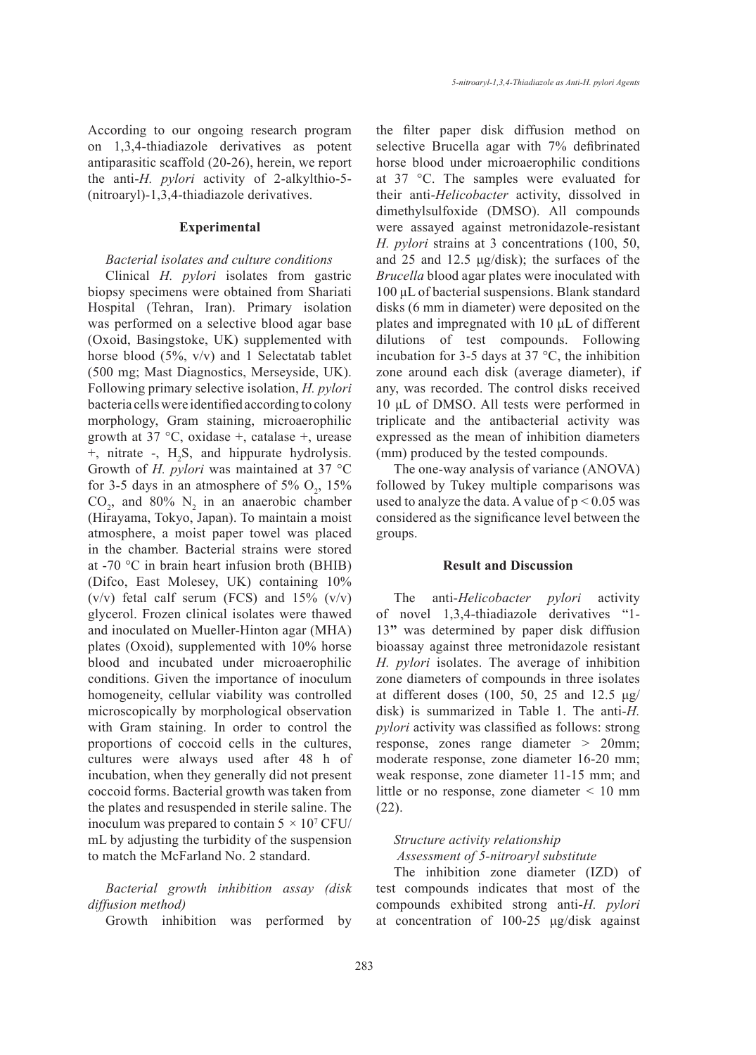According to our ongoing research program on 1,3,4-thiadiazole derivatives as potent antiparasitic scaffold (20-26), herein, we report the anti-*H. pylori* activity of 2-alkylthio-5- (nitroaryl)-1,3,4-thiadiazole derivatives.

## **Experimental**

## *Bacterial isolates and culture conditions*

Clinical *H. pylori* isolates from gastric biopsy specimens were obtained from Shariati Hospital (Tehran, Iran). Primary isolation was performed on a selective blood agar base (Oxoid, Basingstoke, UK) supplemented with horse blood (5%, v/v) and 1 Selectatab tablet (500 mg; Mast Diagnostics, Merseyside, UK). Following primary selective isolation, *H. pylori*  bacteria cells were identified according to colony morphology, Gram staining, microaerophilic growth at 37 °C, oxidase +, catalase +, urease  $+$ , nitrate  $-$ , H<sub>2</sub>S, and hippurate hydrolysis. Growth of *H. pylori* was maintained at 37 °C for 3-5 days in an atmosphere of 5%  $O_2$ , 15%  $CO_2$ , and 80%  $N_2$  in an anaerobic chamber (Hirayama, Tokyo, Japan). To maintain a moist atmosphere, a moist paper towel was placed in the chamber. Bacterial strains were stored at -70 °C in brain heart infusion broth (BHIB) (Difco, East Molesey, UK) containing 10% (v/v) fetal calf serum (FCS) and  $15\%$  (v/v) glycerol. Frozen clinical isolates were thawed and inoculated on Mueller-Hinton agar (MHA) plates (Oxoid), supplemented with 10% horse blood and incubated under microaerophilic conditions. Given the importance of inoculum homogeneity, cellular viability was controlled microscopically by morphological observation with Gram staining. In order to control the proportions of coccoid cells in the cultures, cultures were always used after 48 h of incubation, when they generally did not present coccoid forms. Bacterial growth was taken from the plates and resuspended in sterile saline. The inoculum was prepared to contain  $5 \times 10^7$  CFU/ mL by adjusting the turbidity of the suspension to match the McFarland No. 2 standard.

*Bacterial growth inhibition assay (disk diffusion method)*

Growth inhibition was performed by

the filter paper disk diffusion method on selective Brucella agar with 7% defibrinated horse blood under microaerophilic conditions at 37 °C. The samples were evaluated for their anti-*Helicobacter* activity, dissolved in dimethylsulfoxide (DMSO). All compounds were assayed against metronidazole-resistant *H. pylori* strains at 3 concentrations (100, 50, and 25 and 12.5 μg/disk); the surfaces of the *Brucella* blood agar plates were inoculated with 100 μL of bacterial suspensions. Blank standard disks (6 mm in diameter) were deposited on the plates and impregnated with 10 μL of different dilutions of test compounds. Following incubation for 3-5 days at 37  $\degree$ C, the inhibition zone around each disk (average diameter), if any, was recorded. The control disks received 10 μL of DMSO. All tests were performed in triplicate and the antibacterial activity was expressed as the mean of inhibition diameters (mm) produced by the tested compounds.

The one-way analysis of variance (ANOVA) followed by Tukey multiple comparisons was used to analyze the data. A value of  $p < 0.05$  was considered as the significance level between the groups.

#### **Result and Discussion**

The anti-*Helicobacter pylori* activity of novel 1,3,4-thiadiazole derivatives "1- 13**"** was determined by paper disk diffusion bioassay against three metronidazole resistant *H. pylori* isolates. The average of inhibition zone diameters of compounds in three isolates at different doses (100, 50, 25 and 12.5 μg/ disk) is summarized in Table 1. The anti-*H. pylori* activity was classified as follows: strong response, zones range diameter *>* 20mm; moderate response, zone diameter 16-20 mm; weak response, zone diameter 11-15 mm; and little or no response, zone diameter *<* 10 mm (22).

## *Structure activity relationship Assessment of 5-nitroaryl substitute*

The inhibition zone diameter (IZD) of test compounds indicates that most of the compounds exhibited strong anti-*H. pylori* at concentration of 100-25 μg/disk against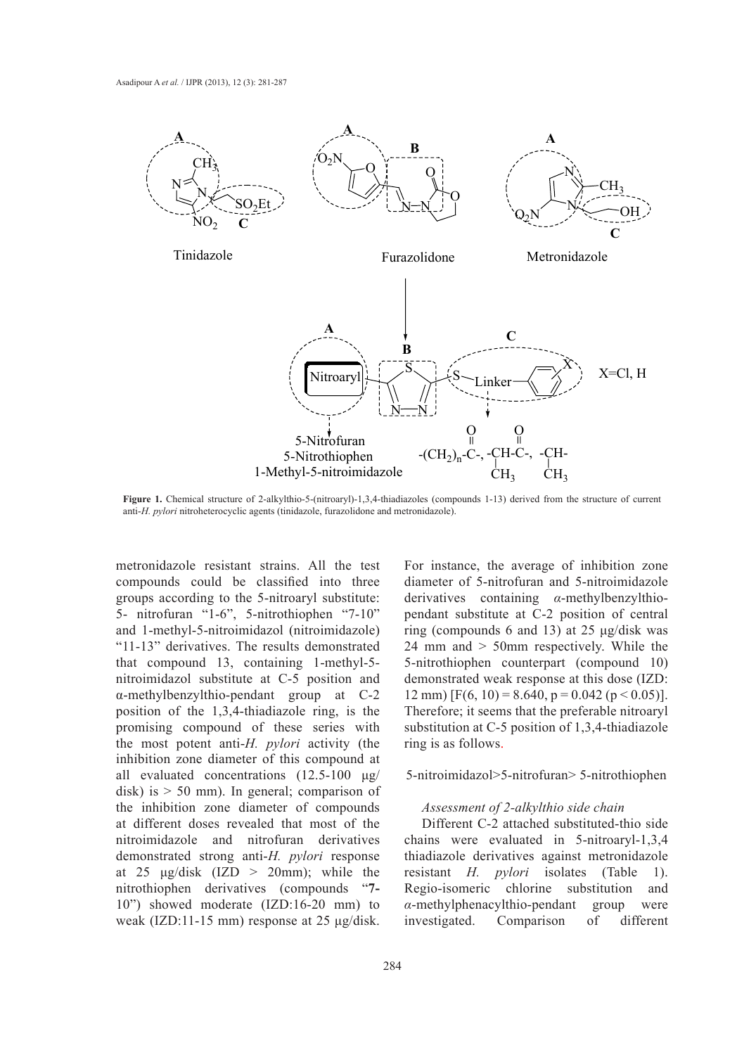

**Figure 1.** Chemical structure of 2-alkylthio-5-(nitroaryl)-1,3,4-thiadiazoles (compounds 1-13) derived from the structure of current anti-*H. pylori* nitroheterocyclic agents (tinidazole, furazolidone and metronidazole).

metronidazole resistant strains. All the test compounds could be classified into three groups according to the 5-nitroaryl substitute: 5- nitrofuran "1-6", 5-nitrothiophen "7-10" and 1-methyl-5-nitroimidazol (nitroimidazole) "11-13" derivatives. The results demonstrated that compound 13, containing 1-methyl-5 nitroimidazol substitute at C-5 position and α-methylbenzylthio-pendant group at C-2 position of the 1,3,4-thiadiazole ring, is the promising compound of these series with the most potent anti-*H. pylori* activity (the inhibition zone diameter of this compound at all evaluated concentrations (12.5-100 μg/ disk) is  $> 50$  mm). In general; comparison of the inhibition zone diameter of compounds at different doses revealed that most of the nitroimidazole and nitrofuran derivatives demonstrated strong anti-*H. pylori* response at 25  $\mu$ g/disk (IZD > 20mm); while the nitrothiophen derivatives (compounds "**7-** 10") showed moderate (IZD:16-20 mm) to weak (IZD:11-15 mm) response at 25 μg/disk.

For instance, the average of inhibition zone diameter of 5-nitrofuran and 5-nitroimidazole derivatives containing *α*-methylbenzylthiopendant substitute at C-2 position of central ring (compounds 6 and 13) at 25 μg/disk was 24 mm and > 50mm respectively. While the 5-nitrothiophen counterpart (compound 10) demonstrated weak response at this dose (IZD: 12 mm) [F(6, 10) = 8.640, p = 0.042 (p < 0.05)]. Therefore; it seems that the preferable nitroaryl substitution at C-5 position of 1,3,4-thiadiazole ring is as follows.

## 5-nitroimidazol>5-nitrofuran> 5-nitrothiophen

## *Assessment of 2-alkylthio side chain*

Different C-2 attached substituted-thio side chains were evaluated in 5-nitroaryl-1,3,4 thiadiazole derivatives against metronidazole resistant *H. pylori* isolates (Table 1). Regio-isomeric chlorine substitution and *α*-methylphenacylthio-pendant group were investigated. Comparison of different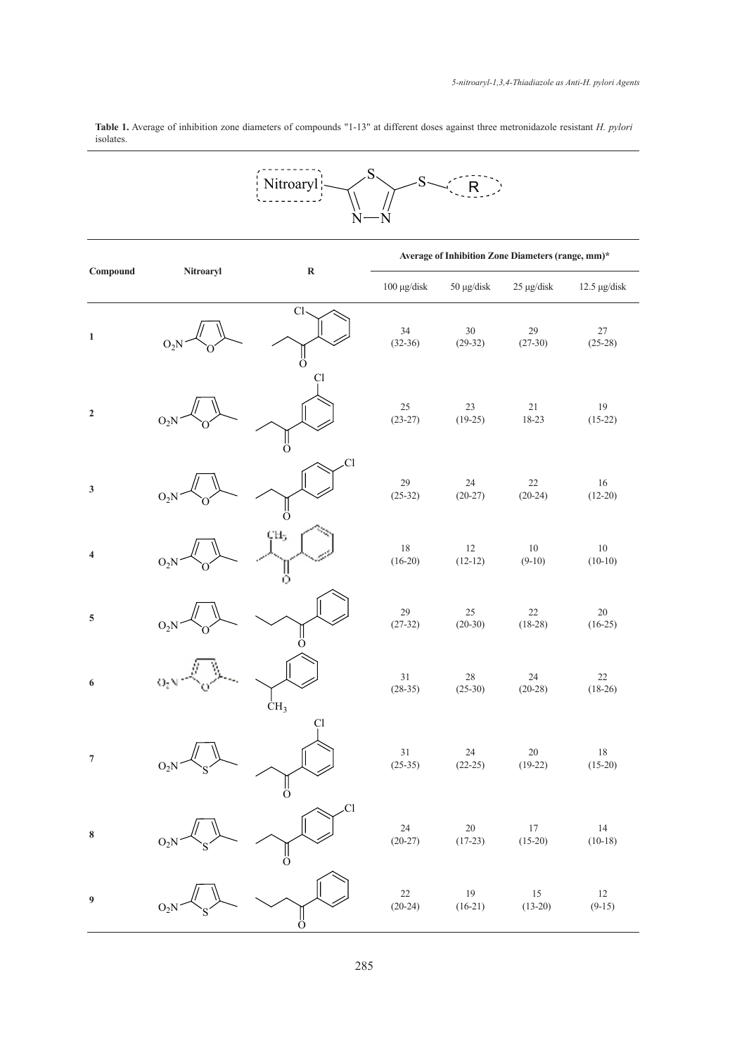**Table 1.** Average of inhibition zone diameters of compounds "1-13" at different doses against three metronidazole resistant *H. pylori* isolates.

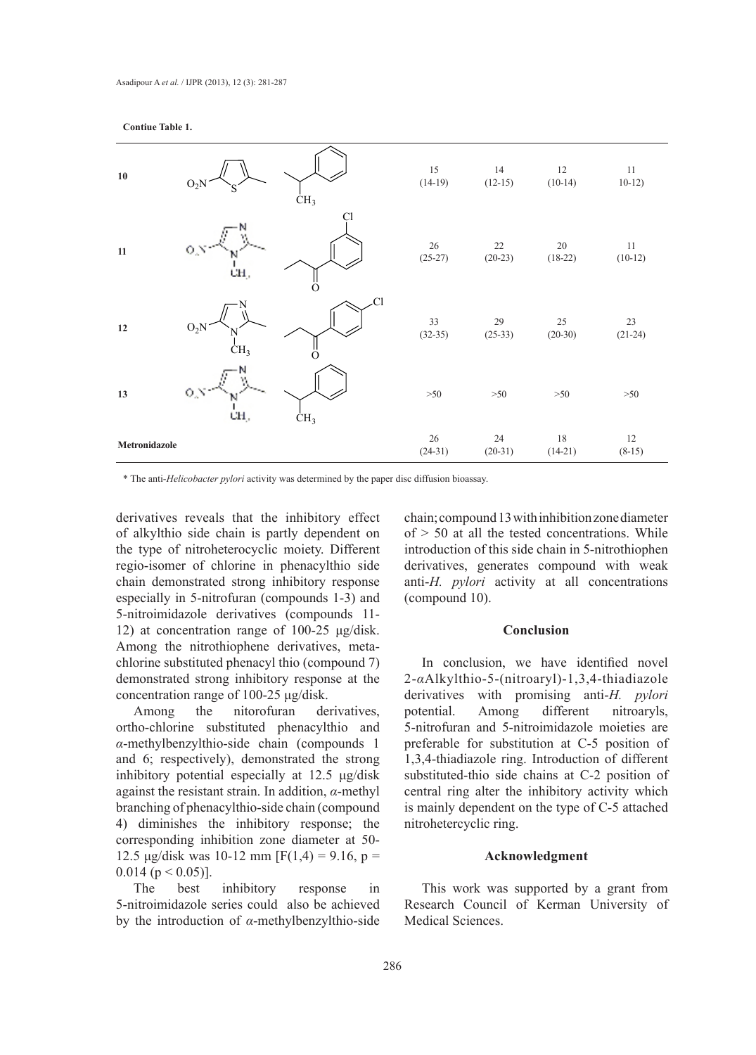## **Contiue Table 1.**



\* The anti-*Helicobacter pylori* activity was determined by the paper disc diffusion bioassay.

derivatives reveals that the inhibitory effect of alkylthio side chain is partly dependent on the type of nitroheterocyclic moiety. Different regio-isomer of chlorine in phenacylthio side chain demonstrated strong inhibitory response especially in 5-nitrofuran (compounds 1-3) and 5-nitroimidazole derivatives (compounds 11- 12) at concentration range of 100-25 μg/disk. Among the nitrothiophene derivatives, metachlorine substituted phenacyl thio (compound 7) demonstrated strong inhibitory response at the concentration range of 100-25 μg/disk.

Among the nitorofuran derivatives, ortho-chlorine substituted phenacylthio and *α*-methylbenzylthio-side chain (compounds 1 and 6; respectively), demonstrated the strong inhibitory potential especially at 12.5 μg/disk against the resistant strain. In addition, *α*-methyl branching of phenacylthio-side chain (compound 4) diminishes the inhibitory response; the corresponding inhibition zone diameter at 50- 12.5 μg/disk was 10-12 mm [F(1,4) = 9.16, p =  $0.014$  (p < 0.05)].

The best inhibitory response in 5-nitroimidazole series could also be achieved by the introduction of *α*-methylbenzylthio-side

chain; compound 13with inhibition zone diameter  $of > 50$  at all the tested concentrations. While introduction of this side chain in 5-nitrothiophen derivatives, generates compound with weak anti-*H. pylori* activity at all concentrations (compound 10).

## **Conclusion**

In conclusion, we have identified novel 2-*α*Alkylthio-5-(nitroaryl)-1,3,4-thiadiazole derivatives with promising anti-*H. pylori* potential. Among different nitroaryls, 5-nitrofuran and 5-nitroimidazole moieties are preferable for substitution at C-5 position of 1,3,4-thiadiazole ring. Introduction of different substituted-thio side chains at C-2 position of central ring alter the inhibitory activity which is mainly dependent on the type of C-5 attached nitrohetercyclic ring.

## **Acknowledgment**

This work was supported by a grant from Research Council of Kerman University of Medical Sciences.